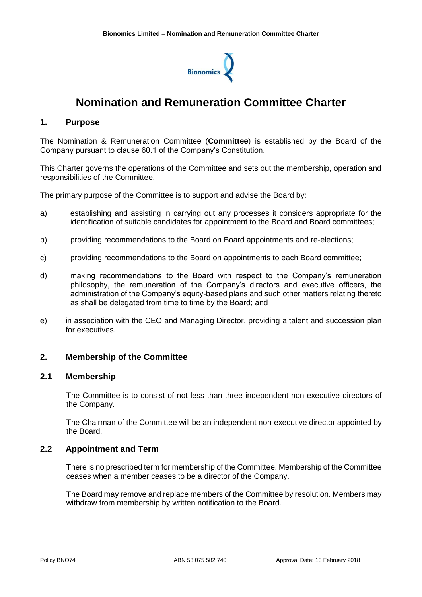

# **Nomination and Remuneration Committee Charter**

## **1. Purpose**

The Nomination & Remuneration Committee (**Committee**) is established by the Board of the Company pursuant to clause 60.1 of the Company's Constitution.

This Charter governs the operations of the Committee and sets out the membership, operation and responsibilities of the Committee.

The primary purpose of the Committee is to support and advise the Board by:

- a) establishing and assisting in carrying out any processes it considers appropriate for the identification of suitable candidates for appointment to the Board and Board committees;
- b) providing recommendations to the Board on Board appointments and re-elections;
- c) providing recommendations to the Board on appointments to each Board committee;
- d) making recommendations to the Board with respect to the Company's remuneration philosophy, the remuneration of the Company's directors and executive officers, the administration of the Company's equity-based plans and such other matters relating thereto as shall be delegated from time to time by the Board; and
- e) in association with the CEO and Managing Director, providing a talent and succession plan for executives.

## **2. Membership of the Committee**

#### **2.1 Membership**

The Committee is to consist of not less than three independent non-executive directors of the Company.

The Chairman of the Committee will be an independent non-executive director appointed by the Board.

#### **2.2 Appointment and Term**

There is no prescribed term for membership of the Committee. Membership of the Committee ceases when a member ceases to be a director of the Company.

The Board may remove and replace members of the Committee by resolution. Members may withdraw from membership by written notification to the Board.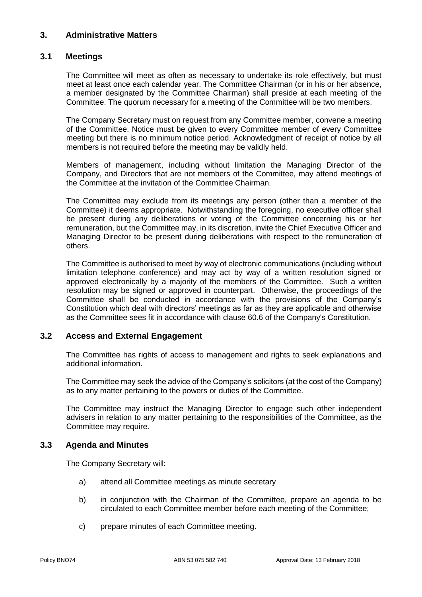# **3. Administrative Matters**

## **3.1 Meetings**

The Committee will meet as often as necessary to undertake its role effectively, but must meet at least once each calendar year. The Committee Chairman (or in his or her absence, a member designated by the Committee Chairman) shall preside at each meeting of the Committee. The quorum necessary for a meeting of the Committee will be two members.

The Company Secretary must on request from any Committee member, convene a meeting of the Committee. Notice must be given to every Committee member of every Committee meeting but there is no minimum notice period. Acknowledgment of receipt of notice by all members is not required before the meeting may be validly held.

Members of management, including without limitation the Managing Director of the Company, and Directors that are not members of the Committee, may attend meetings of the Committee at the invitation of the Committee Chairman.

The Committee may exclude from its meetings any person (other than a member of the Committee) it deems appropriate. Notwithstanding the foregoing, no executive officer shall be present during any deliberations or voting of the Committee concerning his or her remuneration, but the Committee may, in its discretion, invite the Chief Executive Officer and Managing Director to be present during deliberations with respect to the remuneration of others.

The Committee is authorised to meet by way of electronic communications (including without limitation telephone conference) and may act by way of a written resolution signed or approved electronically by a majority of the members of the Committee. Such a written resolution may be signed or approved in counterpart. Otherwise, the proceedings of the Committee shall be conducted in accordance with the provisions of the Company's Constitution which deal with directors' meetings as far as they are applicable and otherwise as the Committee sees fit in accordance with clause 60.6 of the Company's Constitution.

## **3.2 Access and External Engagement**

The Committee has rights of access to management and rights to seek explanations and additional information.

The Committee may seek the advice of the Company's solicitors (at the cost of the Company) as to any matter pertaining to the powers or duties of the Committee.

The Committee may instruct the Managing Director to engage such other independent advisers in relation to any matter pertaining to the responsibilities of the Committee, as the Committee may require.

## **3.3 Agenda and Minutes**

The Company Secretary will:

- a) attend all Committee meetings as minute secretary
- b) in conjunction with the Chairman of the Committee, prepare an agenda to be circulated to each Committee member before each meeting of the Committee;
- c) prepare minutes of each Committee meeting.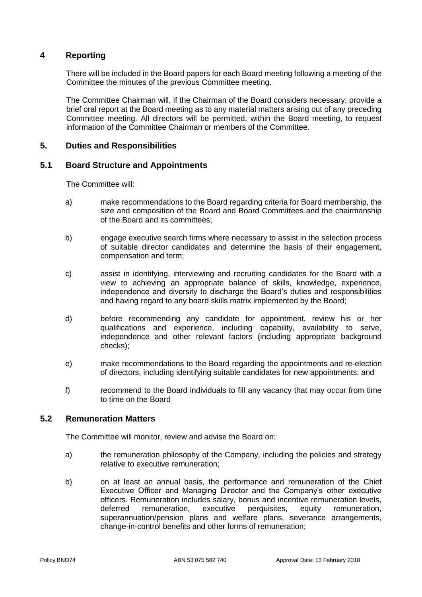## **4 Reporting**

There will be included in the Board papers for each Board meeting following a meeting of the Committee the minutes of the previous Committee meeting.

The Committee Chairman will, if the Chairman of the Board considers necessary, provide a brief oral report at the Board meeting as to any material matters arising out of any preceding Committee meeting. All directors will be permitted, within the Board meeting, to request information of the Committee Chairman or members of the Committee.

## **5. Duties and Responsibilities**

#### **5.1 Board Structure and Appointments**

The Committee will:

- a) make recommendations to the Board regarding criteria for Board membership, the size and composition of the Board and Board Committees and the chairmanship of the Board and its committees;
- b) engage executive search firms where necessary to assist in the selection process of suitable director candidates and determine the basis of their engagement, compensation and term;
- c) assist in identifying, interviewing and recruiting candidates for the Board with a view to achieving an appropriate balance of skills, knowledge, experience, independence and diversity to discharge the Board's duties and responsibilities and having regard to any board skills matrix implemented by the Board;
- d) before recommending any candidate for appointment, review his or her qualifications and experience, including capability, availability to serve, independence and other relevant factors (including appropriate background checks);
- e) make recommendations to the Board regarding the appointments and re-election of directors, including identifying suitable candidates for new appointments: and
- f) recommend to the Board individuals to fill any vacancy that may occur from time to time on the Board

#### **5.2 Remuneration Matters**

The Committee will monitor, review and advise the Board on:

- a) the remuneration philosophy of the Company, including the policies and strategy relative to executive remuneration;
- b) on at least an annual basis, the performance and remuneration of the Chief Executive Officer and Managing Director and the Company's other executive officers. Remuneration includes salary, bonus and incentive remuneration levels, deferred remuneration, executive perquisites, equity remuneration, superannuation/pension plans and welfare plans, severance arrangements, change-in-control benefits and other forms of remuneration;